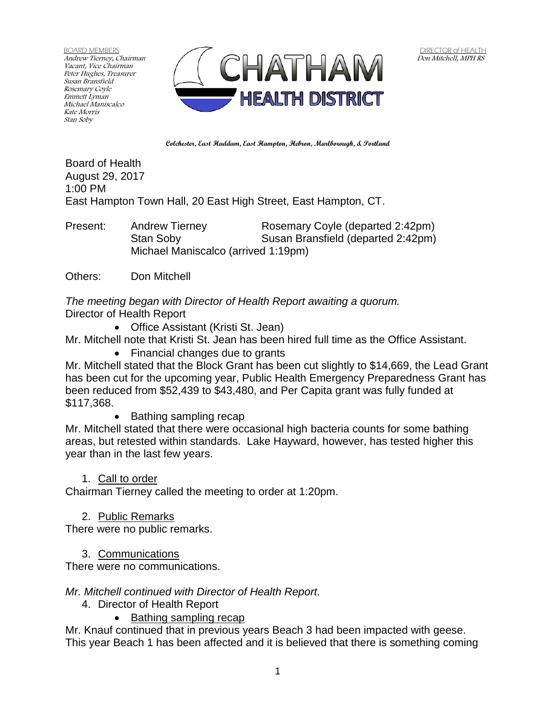BOARD MEMBERS Andrew Tierney, Chairman Vacant, Vice Chairman Peter Hughes, Treasurer Susan Bransfield Rosemary Coyle Emmett Lyman Michael Maniscalco Kate Morris Stan Soby



**Colchester, East Haddam, East Hampton, Hebron, Marlborough, & Portland**

Board of Health August 29, 2017 1:00 PM East Hampton Town Hall, 20 East High Street, East Hampton, CT.

Present: Andrew Tierney Rosemary Coyle (departed 2:42pm) Stan Soby Susan Bransfield (departed 2:42pm) Michael Maniscalco (arrived 1:19pm)

Others: Don Mitchell

*The meeting began with Director of Health Report awaiting a quorum.* Director of Health Report

Office Assistant (Kristi St. Jean)

Mr. Mitchell note that Kristi St. Jean has been hired full time as the Office Assistant.

• Financial changes due to grants

Mr. Mitchell stated that the Block Grant has been cut slightly to \$14,669, the Lead Grant has been cut for the upcoming year, Public Health Emergency Preparedness Grant has been reduced from \$52,439 to \$43,480, and Per Capita grant was fully funded at \$117,368.

• Bathing sampling recap

Mr. Mitchell stated that there were occasional high bacteria counts for some bathing areas, but retested within standards. Lake Hayward, however, has tested higher this year than in the last few years.

### 1. Call to order

Chairman Tierney called the meeting to order at 1:20pm.

2. Public Remarks

There were no public remarks.

## 3. Communications

There were no communications.

### *Mr. Mitchell continued with Director of Health Report.*

- 4. Director of Health Report
	- Bathing sampling recap

Mr. Knauf continued that in previous years Beach 3 had been impacted with geese. This year Beach 1 has been affected and it is believed that there is something coming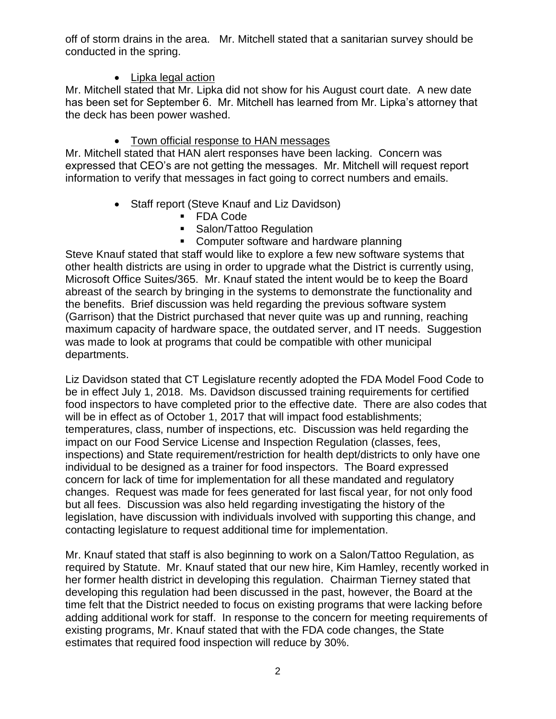off of storm drains in the area. Mr. Mitchell stated that a sanitarian survey should be conducted in the spring.

# • Lipka legal action

Mr. Mitchell stated that Mr. Lipka did not show for his August court date. A new date has been set for September 6. Mr. Mitchell has learned from Mr. Lipka's attorney that the deck has been power washed.

# • Town official response to HAN messages

Mr. Mitchell stated that HAN alert responses have been lacking. Concern was expressed that CEO's are not getting the messages. Mr. Mitchell will request report information to verify that messages in fact going to correct numbers and emails.

- Staff report (Steve Knauf and Liz Davidson)
	- FDA Code
	- **Salon/Tattoo Regulation**
	- Computer software and hardware planning

Steve Knauf stated that staff would like to explore a few new software systems that other health districts are using in order to upgrade what the District is currently using, Microsoft Office Suites/365. Mr. Knauf stated the intent would be to keep the Board abreast of the search by bringing in the systems to demonstrate the functionality and the benefits. Brief discussion was held regarding the previous software system (Garrison) that the District purchased that never quite was up and running, reaching maximum capacity of hardware space, the outdated server, and IT needs. Suggestion was made to look at programs that could be compatible with other municipal departments.

Liz Davidson stated that CT Legislature recently adopted the FDA Model Food Code to be in effect July 1, 2018. Ms. Davidson discussed training requirements for certified food inspectors to have completed prior to the effective date. There are also codes that will be in effect as of October 1, 2017 that will impact food establishments; temperatures, class, number of inspections, etc. Discussion was held regarding the impact on our Food Service License and Inspection Regulation (classes, fees, inspections) and State requirement/restriction for health dept/districts to only have one individual to be designed as a trainer for food inspectors. The Board expressed concern for lack of time for implementation for all these mandated and regulatory changes. Request was made for fees generated for last fiscal year, for not only food but all fees. Discussion was also held regarding investigating the history of the legislation, have discussion with individuals involved with supporting this change, and contacting legislature to request additional time for implementation.

Mr. Knauf stated that staff is also beginning to work on a Salon/Tattoo Regulation, as required by Statute. Mr. Knauf stated that our new hire, Kim Hamley, recently worked in her former health district in developing this regulation. Chairman Tierney stated that developing this regulation had been discussed in the past, however, the Board at the time felt that the District needed to focus on existing programs that were lacking before adding additional work for staff. In response to the concern for meeting requirements of existing programs, Mr. Knauf stated that with the FDA code changes, the State estimates that required food inspection will reduce by 30%.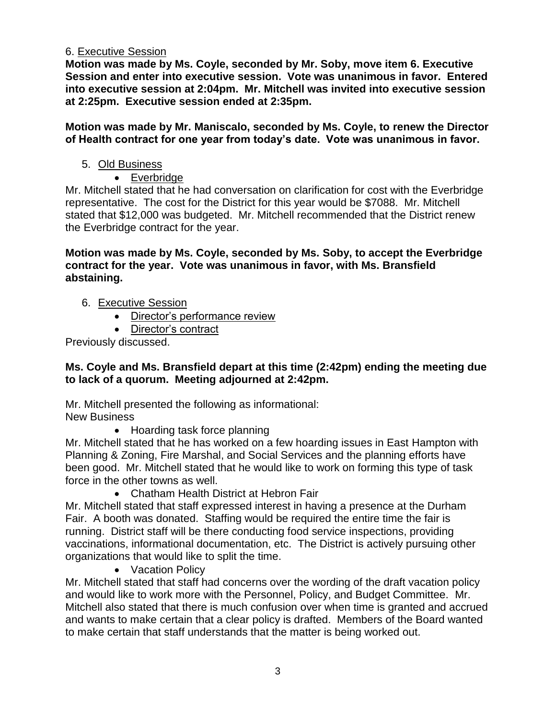### 6. Executive Session

**Motion was made by Ms. Coyle, seconded by Mr. Soby, move item 6. Executive Session and enter into executive session. Vote was unanimous in favor. Entered into executive session at 2:04pm. Mr. Mitchell was invited into executive session at 2:25pm. Executive session ended at 2:35pm.**

**Motion was made by Mr. Maniscalo, seconded by Ms. Coyle, to renew the Director of Health contract for one year from today's date. Vote was unanimous in favor.**

5. Old Business

## Everbridge

Mr. Mitchell stated that he had conversation on clarification for cost with the Everbridge representative. The cost for the District for this year would be \$7088. Mr. Mitchell stated that \$12,000 was budgeted. Mr. Mitchell recommended that the District renew the Everbridge contract for the year.

### **Motion was made by Ms. Coyle, seconded by Ms. Soby, to accept the Everbridge contract for the year. Vote was unanimous in favor, with Ms. Bransfield abstaining.**

- 6. Executive Session
	- Director's performance review
	- Director's contract

Previously discussed.

### **Ms. Coyle and Ms. Bransfield depart at this time (2:42pm) ending the meeting due to lack of a quorum. Meeting adjourned at 2:42pm.**

Mr. Mitchell presented the following as informational: New Business

• Hoarding task force planning

Mr. Mitchell stated that he has worked on a few hoarding issues in East Hampton with Planning & Zoning, Fire Marshal, and Social Services and the planning efforts have been good. Mr. Mitchell stated that he would like to work on forming this type of task force in the other towns as well.

Chatham Health District at Hebron Fair

Mr. Mitchell stated that staff expressed interest in having a presence at the Durham Fair. A booth was donated. Staffing would be required the entire time the fair is running. District staff will be there conducting food service inspections, providing vaccinations, informational documentation, etc. The District is actively pursuing other organizations that would like to split the time.

• Vacation Policy

Mr. Mitchell stated that staff had concerns over the wording of the draft vacation policy and would like to work more with the Personnel, Policy, and Budget Committee. Mr. Mitchell also stated that there is much confusion over when time is granted and accrued and wants to make certain that a clear policy is drafted. Members of the Board wanted to make certain that staff understands that the matter is being worked out.